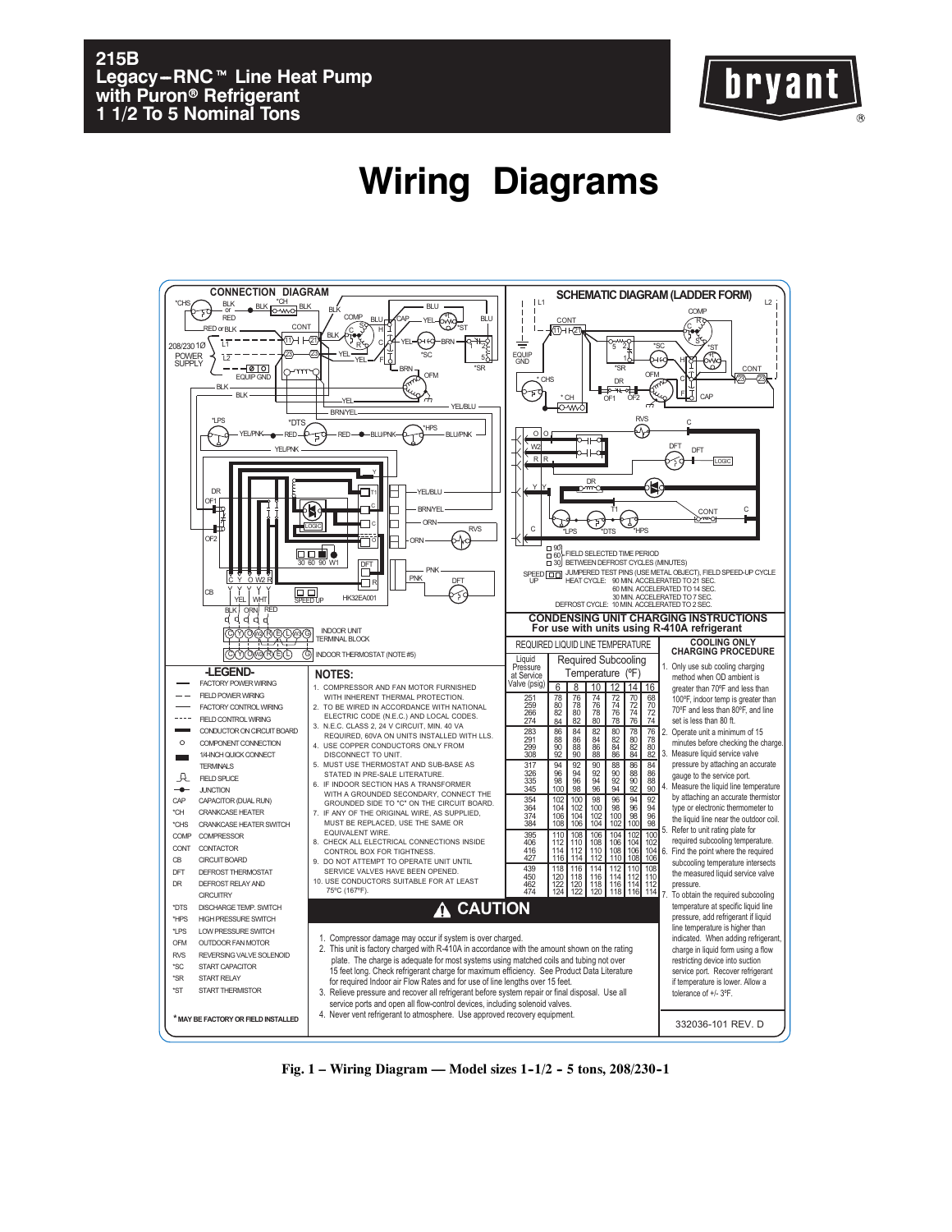## **215B Legacy-RNC™ Line Heat Pump with Puron**r **Refrigerant 1 1/2 To 5 Nominal Tons**



## **Wiring Diagrams**



Fig. 1 – Wiring Diagram — Model sizes 1-1/2 - 5 tons, 208/230-1